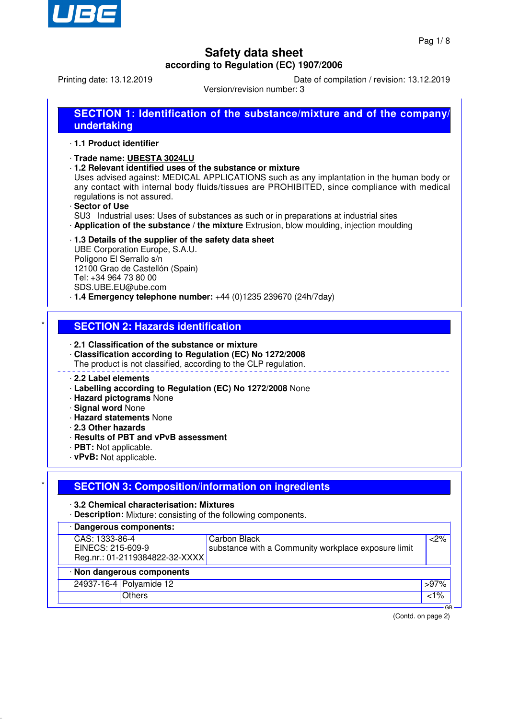

Printing date: 13.12.2019 Date of compilation / revision: 13.12.2019

Version/revision number: 3

| <b>SECTION 1: Identification of the substance/mixture and of the company/</b> |  |
|-------------------------------------------------------------------------------|--|
| undertaking                                                                   |  |

#### · **1.1 Product identifier**

#### · **Trade name: UBESTA 3024LU**

· **1.2 Relevant identified uses of the substance or mixture**

Uses advised against: MEDICAL APPLICATIONS such as any implantation in the human body or any contact with internal body fluids/tissues are PROHIBITED, since compliance with medical regulations is not assured.

· **Sector of Use**

SU3 Industrial uses: Uses of substances as such or in preparations at industrial sites

· **Application of the substance / the mixture** Extrusion, blow moulding, injection moulding

### · **1.3 Details of the supplier of the safety data sheet**

UBE Corporation Europe, S.A.U. Polígono El Serrallo s/n 12100 Grao de Castellón (Spain) Tel: +34 964 73 80 00 SDS.UBE.EU@ube.com

· **1.4 Emergency telephone number:** +44 (0)1235 239670 (24h/7day)

### **SECTION 2: Hazards identification**

· **2.1 Classification of the substance or mixture**

- · **Classification according to Regulation (EC) No 1272/2008**
- The product is not classified, according to the CLP regulation.

### · **2.2 Label elements**

- · **Labelling according to Regulation (EC) No 1272/2008** None
- · **Hazard pictograms** None
- · **Signal word** None
- · **Hazard statements** None
- · **2.3 Other hazards**
- · **Results of PBT and vPvB assessment**
- · **PBT:** Not applicable.
- · **vPvB:** Not applicable.

### **SECTION 3: Composition/information on ingredients**

### · **3.2 Chemical characterisation: Mixtures**

· **Description:** Mixture: consisting of the following components.

| · Dangerous components:        |                                                     |                |  |  |
|--------------------------------|-----------------------------------------------------|----------------|--|--|
| CAS: 1333-86-4                 | Carbon Black                                        | $<$ 2%         |  |  |
| EINECS: 215-609-9              | substance with a Community workplace exposure limit |                |  |  |
| Reg.nr.: 01-2119384822-32-XXXX |                                                     |                |  |  |
| · Non dangerous components     |                                                     |                |  |  |
| 24937-16-4 Polyamide 12        |                                                     | $>97\%$        |  |  |
| <b>Others</b>                  |                                                     | $<1\%$         |  |  |
|                                |                                                     | G <sub>R</sub> |  |  |

(Contd. on page 2)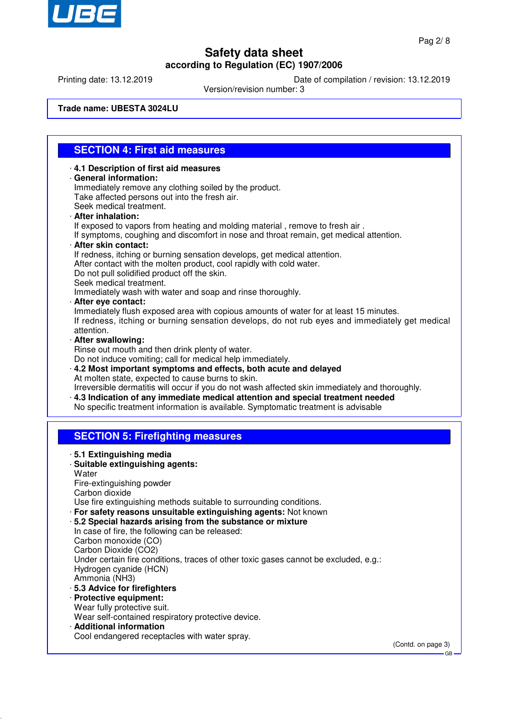

Printing date: 13.12.2019 Date of compilation / revision: 13.12.2019

Version/revision number: 3

**Trade name: UBESTA 3024LU**

## **SECTION 4: First aid measures**

- · **4.1 Description of first aid measures**
- · **General information:**

Immediately remove any clothing soiled by the product. Take affected persons out into the fresh air.

- Seek medical treatment. · **After inhalation:**
- If exposed to vapors from heating and molding material, remove to fresh air.
- If symptoms, coughing and discomfort in nose and throat remain, get medical attention.
- · **After skin contact:**
	- If redness, itching or burning sensation develops, get medical attention.
- After contact with the molten product, cool rapidly with cold water.
- Do not pull solidified product off the skin.
- Seek medical treatment.
- Immediately wash with water and soap and rinse thoroughly.
- · **After eye contact:**

Immediately flush exposed area with copious amounts of water for at least 15 minutes. If redness, itching or burning sensation develops, do not rub eyes and immediately get medical attention.

· **After swallowing:**

Rinse out mouth and then drink plenty of water.

Do not induce vomiting; call for medical help immediately.

- · **4.2 Most important symptoms and effects, both acute and delayed** At molten state, expected to cause burns to skin.
- Irreversible dermatitis will occur if you do not wash affected skin immediately and thoroughly. · **4.3 Indication of any immediate medical attention and special treatment needed**
- No specific treatment information is available. Symptomatic treatment is advisable

### **SECTION 5: Firefighting measures**

- · **5.1 Extinguishing media**
- · **Suitable extinguishing agents:**
- **Water**
- Fire-extinguishing powder
- Carbon dioxide

Use fire extinguishing methods suitable to surrounding conditions.

- · **For safety reasons unsuitable extinguishing agents:** Not known
- · **5.2 Special hazards arising from the substance or mixture**
- In case of fire, the following can be released: Carbon monoxide (CO) Carbon Dioxide (CO2) Under certain fire conditions, traces of other toxic gases cannot be excluded, e.g.: Hydrogen cyanide (HCN)
- Ammonia (NH3)
- · **5.3 Advice for firefighters**
- · **Protective equipment:**
- Wear fully protective suit.
- Wear self-contained respiratory protective device.
- · **Additional information**

Cool endangered receptacles with water spray.

(Contd. on page 3)

GB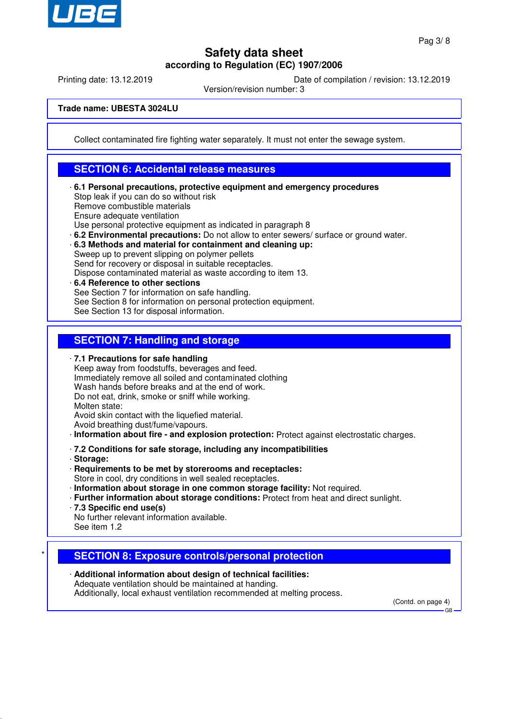

Printing date: 13.12.2019 Date of compilation / revision: 13.12.2019

Version/revision number: 3

**Trade name: UBESTA 3024LU**

Collect contaminated fire fighting water separately. It must not enter the sewage system.

### **SECTION 6: Accidental release measures**

- · **6.1 Personal precautions, protective equipment and emergency procedures** Stop leak if you can do so without risk Remove combustible materials Ensure adequate ventilation Use personal protective equipment as indicated in paragraph 8
- · **6.2 Environmental precautions:** Do not allow to enter sewers/ surface or ground water.
- · **6.3 Methods and material for containment and cleaning up:**

Sweep up to prevent slipping on polymer pellets Send for recovery or disposal in suitable receptacles.

- Dispose contaminated material as waste according to item 13.
- · **6.4 Reference to other sections** See Section 7 for information on safe handling. See Section 8 for information on personal protection equipment. See Section 13 for disposal information.

### **SECTION 7: Handling and storage**

· **7.1 Precautions for safe handling** Keep away from foodstuffs, beverages and feed. Immediately remove all soiled and contaminated clothing Wash hands before breaks and at the end of work. Do not eat, drink, smoke or sniff while working.

Molten state:

Avoid skin contact with the liquefied material.

- Avoid breathing dust/fume/vapours.
- · **Information about fire and explosion protection:** Protect against electrostatic charges.
- · **7.2 Conditions for safe storage, including any incompatibilities**
- · **Storage:**
- · **Requirements to be met by storerooms and receptacles:**
- Store in cool, dry conditions in well sealed receptacles.
- · **Information about storage in one common storage facility:** Not required.
- · **Further information about storage conditions:** Protect from heat and direct sunlight.
- · **7.3 Specific end use(s)**
- No further relevant information available.
- See item 1.2

## **SECTION 8: Exposure controls/personal protection**

· **Additional information about design of technical facilities:** Adequate ventilation should be maintained at handing. Additionally, local exhaust ventilation recommended at melting process.

(Contd. on page 4) GB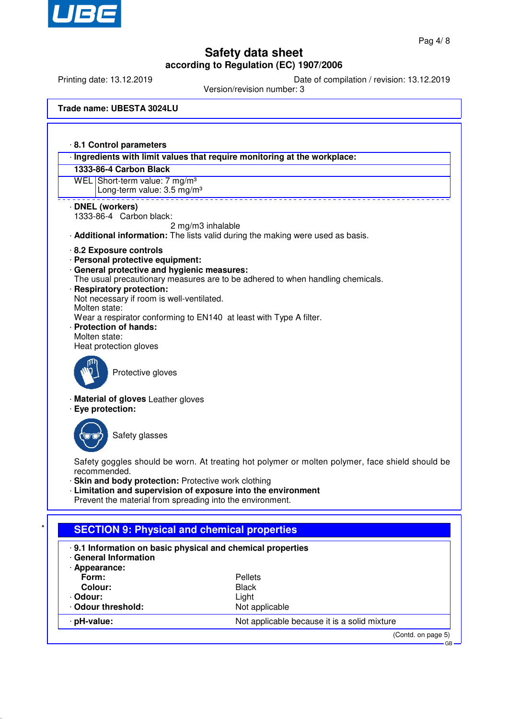

Printing date: 13.12.2019 Date of compilation / revision: 13.12.2019

Version/revision number: 3

**Trade name: UBESTA 3024LU**

· **8.1 Control parameters** · **Ingredients with limit values that require monitoring at the workplace: 1333-86-4 Carbon Black** WEL Short-term value: 7 mg/m<sup>3</sup> Long-term value: 3.5 mg/m<sup>3</sup> · **DNEL (workers)** 1333-86-4 Carbon black: 2 mg/m3 inhalable · **Additional information:** The lists valid during the making were used as basis. · **8.2 Exposure controls** · **Personal protective equipment:** · **General protective and hygienic measures:** The usual precautionary measures are to be adhered to when handling chemicals. · **Respiratory protection:** Not necessary if room is well-ventilated. Molten state: Wear a respirator conforming to EN140 at least with Type A filter. · **Protection of hands:** Molten state: Heat protection gloves Protective gloves · **Material of gloves** Leather gloves · **Eye protection:** Safety glasses Safety goggles should be worn. At treating hot polymer or molten polymer, face shield should be recommended. · **Skin and body protection:** Protective work clothing Limitation and supervision of exposure into the environment Prevent the material from spreading into the environment. **SECTION 9: Physical and chemical properties** · **9.1 Information on basic physical and chemical properties** · **General Information**

| · Appearance:    |                                              |
|------------------|----------------------------------------------|
| Form:            | <b>Pellets</b>                               |
| Colour:          | <b>Black</b>                                 |
| · Odour:         | Light                                        |
| Odour threshold: | Not applicable                               |
| · pH-value:      | Not applicable because it is a solid mixture |
|                  |                                              |

(Contd. on page 5)

GB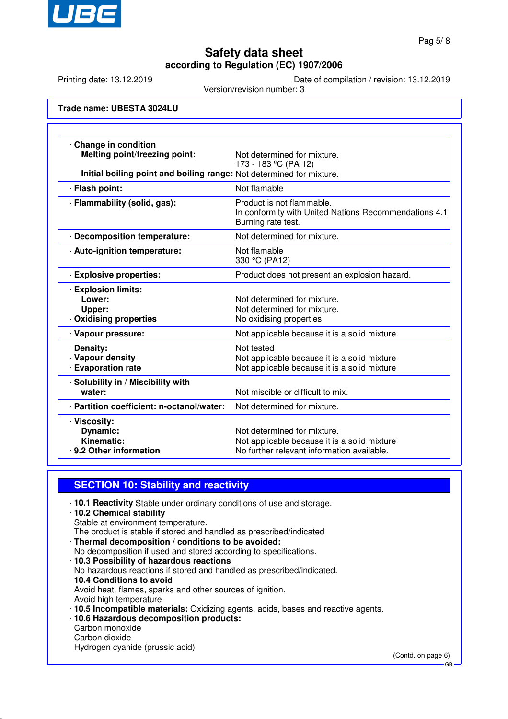

Printing date: 13.12.2019 Date of compilation / revision: 13.12.2019

Version/revision number: 3

#### **Trade name: UBESTA 3024LU**

| Change in condition<br><b>Melting point/freezing point:</b><br>Initial boiling point and boiling range: Not determined for mixture. | Not determined for mixture.<br>173 - 183 °C (PA 12)                                                                       |
|-------------------------------------------------------------------------------------------------------------------------------------|---------------------------------------------------------------------------------------------------------------------------|
| · Flash point:                                                                                                                      | Not flamable                                                                                                              |
| · Flammability (solid, gas):                                                                                                        | Product is not flammable.<br>In conformity with United Nations Recommendations 4.1<br>Burning rate test.                  |
| · Decomposition temperature:                                                                                                        | Not determined for mixture.                                                                                               |
| · Auto-ignition temperature:                                                                                                        | Not flamable<br>330 °C (PA12)                                                                                             |
| <b>Explosive properties:</b>                                                                                                        | Product does not present an explosion hazard.                                                                             |
| <b>Explosion limits:</b><br>Lower:<br>Upper:<br>· Oxidising properties                                                              | Not determined for mixture.<br>Not determined for mixture.<br>No oxidising properties                                     |
| · Vapour pressure:                                                                                                                  | Not applicable because it is a solid mixture                                                                              |
| · Density:<br>· Vapour density<br><b>Evaporation rate</b>                                                                           | Not tested<br>Not applicable because it is a solid mixture<br>Not applicable because it is a solid mixture                |
| · Solubility in / Miscibility with<br>water:                                                                                        | Not miscible or difficult to mix.                                                                                         |
| · Partition coefficient: n-octanol/water:                                                                                           | Not determined for mixture.                                                                                               |
| · Viscosity:<br><b>Dynamic:</b><br>Kinematic:<br>· 9.2 Other information                                                            | Not determined for mixture.<br>Not applicable because it is a solid mixture<br>No further relevant information available. |

### **SECTION 10: Stability and reactivity**

- · **10.1 Reactivity** Stable under ordinary conditions of use and storage.
- · **10.2 Chemical stability** Stable at environment temperature.

The product is stable if stored and handled as prescribed/indicated

- · **Thermal decomposition / conditions to be avoided:** No decomposition if used and stored according to specifications. · **10.3 Possibility of hazardous reactions**
- No hazardous reactions if stored and handled as prescribed/indicated.
- · **10.4 Conditions to avoid** Avoid heat, flames, sparks and other sources of ignition. Avoid high temperature
- · **10.5 Incompatible materials:** Oxidizing agents, acids, bases and reactive agents.
- · **10.6 Hazardous decomposition products:** Carbon monoxide Carbon dioxide

Hydrogen cyanide (prussic acid)

(Contd. on page 6)

GB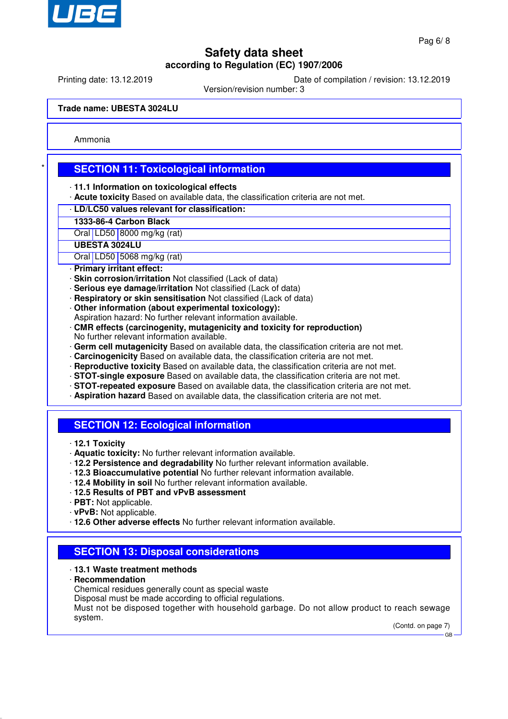

Printing date: 13.12.2019 Date of compilation / revision: 13.12.2019

Version/revision number: 3

**Trade name: UBESTA 3024LU**

Ammonia

## **SECTION 11: Toxicological information**

- · **11.1 Information on toxicological effects**
- · **Acute toxicity** Based on available data, the classification criteria are not met.
- · **LD/LC50 values relevant for classification:**
- **1333-86-4 Carbon Black**
- Oral | LD50 | 8000 mg/kg (rat)

**UBESTA 3024LU**

Oral LD50 5068 mg/kg (rat)

- · **Primary irritant effect:**
- · **Skin corrosion/irritation** Not classified (Lack of data)
- · **Serious eye damage/irritation** Not classified (Lack of data)
- · **Respiratory or skin sensitisation** Not classified (Lack of data)
- · **Other information (about experimental toxicology):**
- Aspiration hazard: No further relevant information available.
- · **CMR effects (carcinogenity, mutagenicity and toxicity for reproduction)** No further relevant information available.
- · **Germ cell mutagenicity** Based on available data, the classification criteria are not met.
- · **Carcinogenicity** Based on available data, the classification criteria are not met.
- · **Reproductive toxicity** Based on available data, the classification criteria are not met.
- · **STOT-single exposure** Based on available data, the classification criteria are not met.
- · **STOT-repeated exposure** Based on available data, the classification criteria are not met.
- · **Aspiration hazard** Based on available data, the classification criteria are not met.

## **SECTION 12: Ecological information**

- · **12.1 Toxicity**
- · **Aquatic toxicity:** No further relevant information available.
- · **12.2 Persistence and degradability** No further relevant information available.
- · **12.3 Bioaccumulative potential** No further relevant information available.
- · **12.4 Mobility in soil** No further relevant information available.
- · **12.5 Results of PBT and vPvB assessment**
- · **PBT:** Not applicable.
- · **vPvB:** Not applicable.
- · **12.6 Other adverse effects** No further relevant information available.

### **SECTION 13: Disposal considerations**

### · **13.1 Waste treatment methods**

- · **Recommendation**
- Chemical residues generally count as special waste
- Disposal must be made according to official regulations.

Must not be disposed together with household garbage. Do not allow product to reach sewage system.

(Contd. on page 7) GB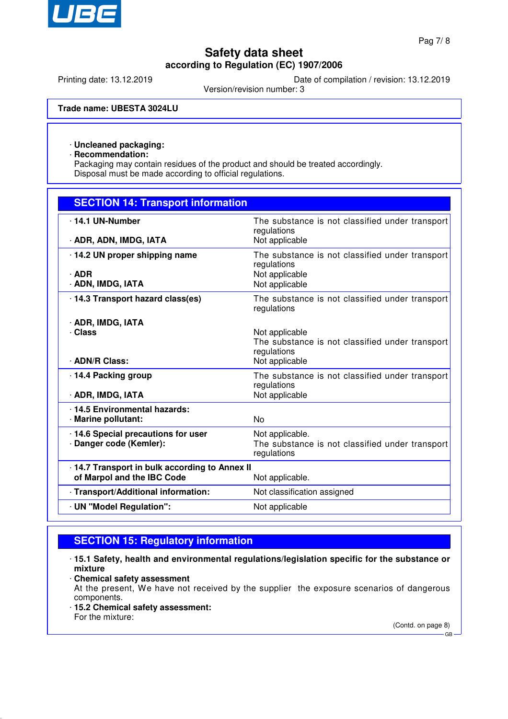

Printing date: 13.12.2019 Date of compilation / revision: 13.12.2019

Version/revision number: 3

**Trade name: UBESTA 3024LU**

### · **Uncleaned packaging:**

· **Recommendation:**

Packaging may contain residues of the product and should be treated accordingly. Disposal must be made according to official regulations.

| <b>SECTION 14: Transport information</b>                                     |                                                                                                    |
|------------------------------------------------------------------------------|----------------------------------------------------------------------------------------------------|
| . 14.1 UN-Number<br>· ADR, ADN, IMDG, IATA                                   | The substance is not classified under transport<br>regulations<br>Not applicable                   |
| 14.2 UN proper shipping name<br>$\cdot$ ADR<br>· ADN, IMDG, IATA             | The substance is not classified under transport<br>regulations<br>Not applicable<br>Not applicable |
| 14.3 Transport hazard class(es)                                              | The substance is not classified under transport<br>regulations                                     |
| · ADR, IMDG, IATA<br>· Class<br>· ADN/R Class:                               | Not applicable<br>The substance is not classified under transport<br>regulations<br>Not applicable |
| 14.4 Packing group<br>· ADR, IMDG, IATA                                      | The substance is not classified under transport<br>regulations<br>Not applicable                   |
| 14.5 Environmental hazards:<br>· Marine pollutant:                           | <b>No</b>                                                                                          |
| 14.6 Special precautions for user<br>· Danger code (Kemler):                 | Not applicable.<br>The substance is not classified under transport<br>regulations                  |
| · 14.7 Transport in bulk according to Annex II<br>of Marpol and the IBC Code | Not applicable.                                                                                    |
| · Transport/Additional information:                                          | Not classification assigned                                                                        |
| · UN "Model Regulation":                                                     | Not applicable                                                                                     |

# **SECTION 15: Regulatory information**

- · **15.1 Safety, health and environmental regulations/legislation specific for the substance or mixture**
- · **Chemical safety assessment**

At the present, We have not received by the supplier the exposure scenarios of dangerous components.

· **15.2 Chemical safety assessment:** For the mixture:

(Contd. on page 8)

GB